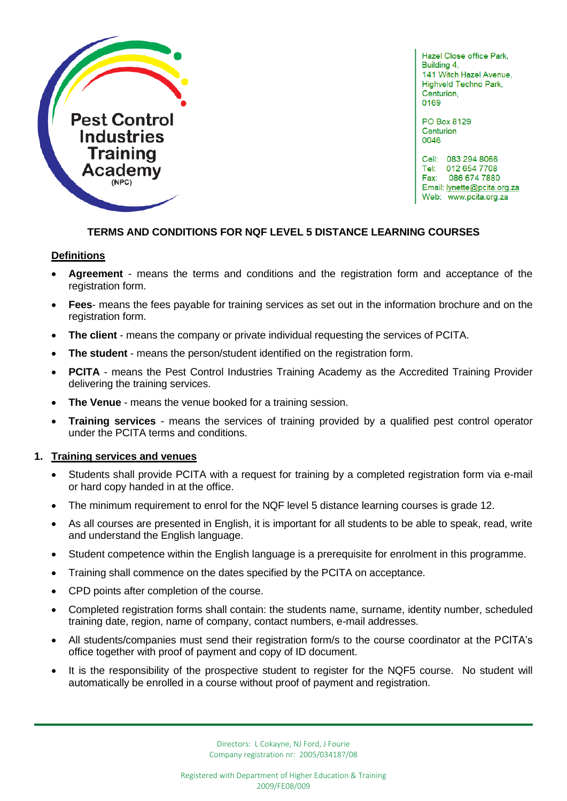

Hazel Close office Park, Building 4. 141 Witch Hazel Avenue, Highveld Techno Park, Centurion. 0169

PO Box 8129 Centurion 0046

Cell: 083 294 8066 Tel: 012 654 7708 Fax: 086 674 7880 Email: lynette@pcita.org.za Web: www.pcita.org.za

ľ

# **TERMS AND CONDITIONS FOR NQF LEVEL 5 DISTANCE LEARNING COURSES**

### **Definitions**

- **Agreement** means the terms and conditions and the registration form and acceptance of the registration form.
- **Fees** means the fees payable for training services as set out in the information brochure and on the registration form.
- **The client** means the company or private individual requesting the services of PCITA.
- **The student** means the person/student identified on the registration form.
- **PCITA** means the Pest Control Industries Training Academy as the Accredited Training Provider delivering the training services.
- **The Venue** means the venue booked for a training session.
- **Training services** means the services of training provided by a qualified pest control operator under the PCITA terms and conditions.

# **1. Training services and venues**

- Students shall provide PCITA with a request for training by a completed registration form via e-mail or hard copy handed in at the office.
- The minimum requirement to enrol for the NQF level 5 distance learning courses is grade 12.
- As all courses are presented in English, it is important for all students to be able to speak, read, write and understand the English language.
- Student competence within the English language is a prerequisite for enrolment in this programme.
- Training shall commence on the dates specified by the PCITA on acceptance.
- CPD points after completion of the course.
- Completed registration forms shall contain: the students name, surname, identity number, scheduled training date, region, name of company, contact numbers, e-mail addresses.
- All students/companies must send their registration form/s to the course coordinator at the PCITA's office together with proof of payment and copy of ID document.
- It is the responsibility of the prospective student to register for the NQF5 course. No student will automatically be enrolled in a course without proof of payment and registration.

Directors: L Cokayne, NJ Ford, J Fourie Company registration nr: 2005/034187/08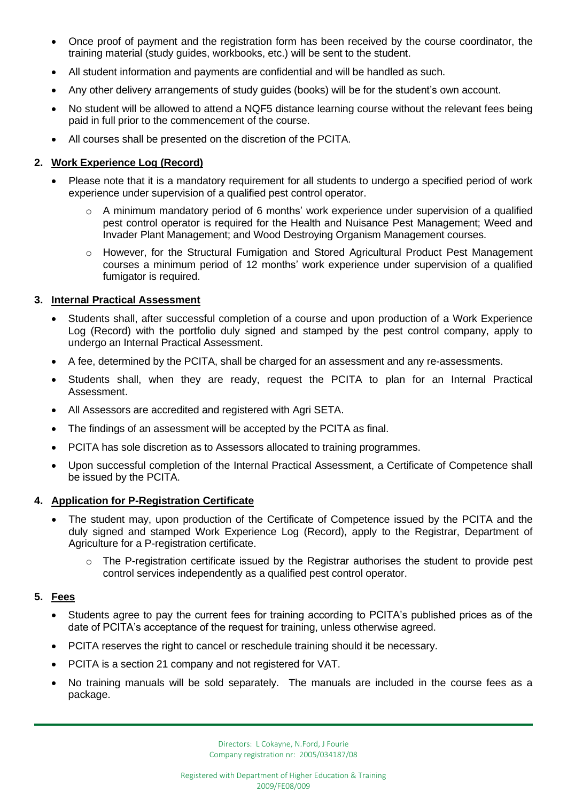- Once proof of payment and the registration form has been received by the course coordinator, the training material (study guides, workbooks, etc.) will be sent to the student.
- All student information and payments are confidential and will be handled as such.
- Any other delivery arrangements of study guides (books) will be for the student's own account.
- No student will be allowed to attend a NQF5 distance learning course without the relevant fees being paid in full prior to the commencement of the course.
- All courses shall be presented on the discretion of the PCITA.

## **2. Work Experience Log (Record)**

- Please note that it is a mandatory requirement for all students to undergo a specified period of work experience under supervision of a qualified pest control operator.
	- A minimum mandatory period of 6 months' work experience under supervision of a qualified pest control operator is required for the Health and Nuisance Pest Management; Weed and Invader Plant Management; and Wood Destroying Organism Management courses.
	- o However, for the Structural Fumigation and Stored Agricultural Product Pest Management courses a minimum period of 12 months' work experience under supervision of a qualified fumigator is required.

### **3. Internal Practical Assessment**

- Students shall, after successful completion of a course and upon production of a Work Experience Log (Record) with the portfolio duly signed and stamped by the pest control company, apply to undergo an Internal Practical Assessment.
- A fee, determined by the PCITA, shall be charged for an assessment and any re-assessments.
- Students shall, when they are ready, request the PCITA to plan for an Internal Practical Assessment.
- All Assessors are accredited and registered with Agri SETA.
- The findings of an assessment will be accepted by the PCITA as final.
- PCITA has sole discretion as to Assessors allocated to training programmes.
- Upon successful completion of the Internal Practical Assessment, a Certificate of Competence shall be issued by the PCITA.

# **4. Application for P-Registration Certificate**

- The student may, upon production of the Certificate of Competence issued by the PCITA and the duly signed and stamped Work Experience Log (Record), apply to the Registrar, Department of Agriculture for a P-registration certificate.
	- o The P-registration certificate issued by the Registrar authorises the student to provide pest control services independently as a qualified pest control operator.

# **5. Fees**

- Students agree to pay the current fees for training according to PCITA's published prices as of the date of PCITA's acceptance of the request for training, unless otherwise agreed.
- PCITA reserves the right to cancel or reschedule training should it be necessary.
- PCITA is a section 21 company and not registered for VAT.
- No training manuals will be sold separately. The manuals are included in the course fees as a package.

ľ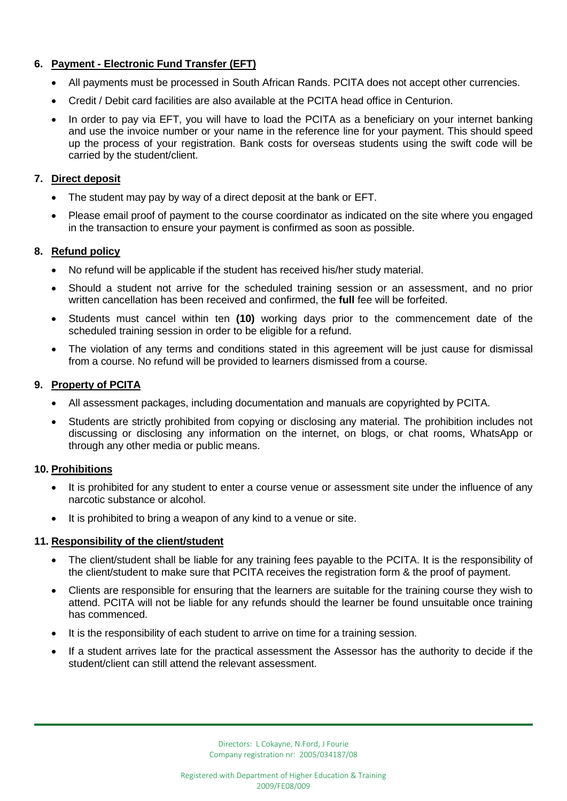# **6. Payment - Electronic Fund Transfer (EFT)**

- All payments must be processed in South African Rands. PCITA does not accept other currencies.
- Credit / Debit card facilities are also available at the PCITA head office in Centurion.
- In order to pay via EFT, you will have to load the PCITA as a beneficiary on your internet banking and use the invoice number or your name in the reference line for your payment. This should speed up the process of your registration. Bank costs for overseas students using the swift code will be carried by the student/client.

## **7. Direct deposit**

- The student may pay by way of a direct deposit at the bank or EFT.
- Please email proof of payment to the course coordinator as indicated on the site where you engaged in the transaction to ensure your payment is confirmed as soon as possible.

## **8. Refund policy**

- No refund will be applicable if the student has received his/her study material.
- Should a student not arrive for the scheduled training session or an assessment, and no prior written cancellation has been received and confirmed, the **full** fee will be forfeited.
- Students must cancel within ten **(10)** working days prior to the commencement date of the scheduled training session in order to be eligible for a refund.
- The violation of any terms and conditions stated in this agreement will be just cause for dismissal from a course. No refund will be provided to learners dismissed from a course.

## **9. Property of PCITA**

- All assessment packages, including documentation and manuals are copyrighted by PCITA.
- Students are strictly prohibited from copying or disclosing any material. The prohibition includes not discussing or disclosing any information on the internet, on blogs, or chat rooms, WhatsApp or through any other media or public means.

### **10. Prohibitions**

- It is prohibited for any student to enter a course venue or assessment site under the influence of any narcotic substance or alcohol.
- It is prohibited to bring a weapon of any kind to a venue or site.

### **11. Responsibility of the client/student**

- The client/student shall be liable for any training fees payable to the PCITA. It is the responsibility of the client/student to make sure that PCITA receives the registration form & the proof of payment.
- Clients are responsible for ensuring that the learners are suitable for the training course they wish to attend. PCITA will not be liable for any refunds should the learner be found unsuitable once training has commenced.
- It is the responsibility of each student to arrive on time for a training session.
- If a student arrives late for the practical assessment the Assessor has the authority to decide if the student/client can still attend the relevant assessment.

ľ